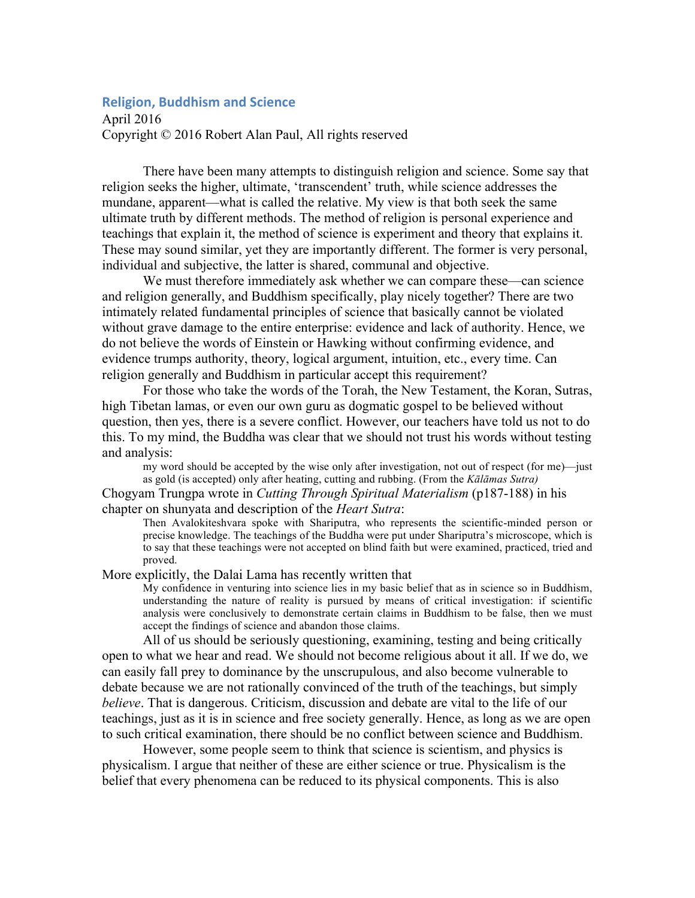## **Religion, Buddhism and Science**

April 2016 Copyright © 2016 Robert Alan Paul, All rights reserved

There have been many attempts to distinguish religion and science. Some say that religion seeks the higher, ultimate, 'transcendent' truth, while science addresses the mundane, apparent—what is called the relative. My view is that both seek the same ultimate truth by different methods. The method of religion is personal experience and teachings that explain it, the method of science is experiment and theory that explains it. These may sound similar, yet they are importantly different. The former is very personal, individual and subjective, the latter is shared, communal and objective.

We must therefore immediately ask whether we can compare these—can science and religion generally, and Buddhism specifically, play nicely together? There are two intimately related fundamental principles of science that basically cannot be violated without grave damage to the entire enterprise: evidence and lack of authority. Hence, we do not believe the words of Einstein or Hawking without confirming evidence, and evidence trumps authority, theory, logical argument, intuition, etc., every time. Can religion generally and Buddhism in particular accept this requirement?

For those who take the words of the Torah, the New Testament, the Koran, Sutras, high Tibetan lamas, or even our own guru as dogmatic gospel to be believed without question, then yes, there is a severe conflict. However, our teachers have told us not to do this. To my mind, the Buddha was clear that we should not trust his words without testing and analysis:

my word should be accepted by the wise only after investigation, not out of respect (for me)—just as gold (is accepted) only after heating, cutting and rubbing. (From the *Kālāmas Sutra)*

Chogyam Trungpa wrote in *Cutting Through Spiritual Materialism* (p187-188) in his chapter on shunyata and description of the *Heart Sutra*:

Then Avalokiteshvara spoke with Shariputra, who represents the scientific-minded person or precise knowledge. The teachings of the Buddha were put under Shariputra's microscope, which is to say that these teachings were not accepted on blind faith but were examined, practiced, tried and proved.

More explicitly, the Dalai Lama has recently written that

My confidence in venturing into science lies in my basic belief that as in science so in Buddhism, understanding the nature of reality is pursued by means of critical investigation: if scientific analysis were conclusively to demonstrate certain claims in Buddhism to be false, then we must accept the findings of science and abandon those claims.

All of us should be seriously questioning, examining, testing and being critically open to what we hear and read. We should not become religious about it all. If we do, we can easily fall prey to dominance by the unscrupulous, and also become vulnerable to debate because we are not rationally convinced of the truth of the teachings, but simply *believe*. That is dangerous. Criticism, discussion and debate are vital to the life of our teachings, just as it is in science and free society generally. Hence, as long as we are open to such critical examination, there should be no conflict between science and Buddhism.

However, some people seem to think that science is scientism, and physics is physicalism. I argue that neither of these are either science or true. Physicalism is the belief that every phenomena can be reduced to its physical components. This is also